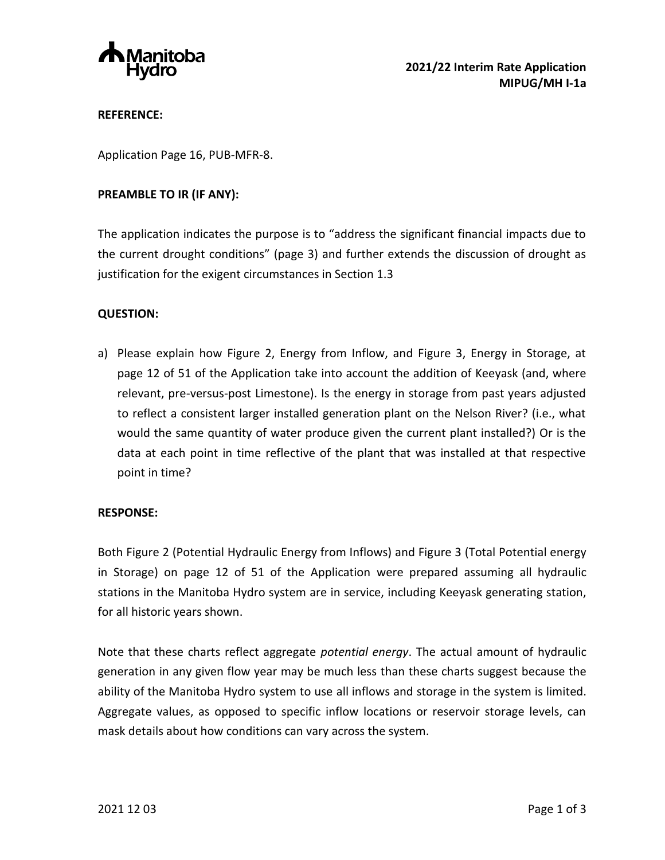

### **REFERENCE:**

Application Page 16, PUB-MFR-8.

### **PREAMBLE TO IR (IF ANY):**

The application indicates the purpose is to "address the significant financial impacts due to the current drought conditions" (page 3) and further extends the discussion of drought as justification for the exigent circumstances in Section 1.3

## **QUESTION:**

a) Please explain how Figure 2, Energy from Inflow, and Figure 3, Energy in Storage, at page 12 of 51 of the Application take into account the addition of Keeyask (and, where relevant, pre-versus-post Limestone). Is the energy in storage from past years adjusted to reflect a consistent larger installed generation plant on the Nelson River? (i.e., what would the same quantity of water produce given the current plant installed?) Or is the data at each point in time reflective of the plant that was installed at that respective point in time?

#### **RESPONSE:**

Both Figure 2 (Potential Hydraulic Energy from Inflows) and Figure 3 (Total Potential energy in Storage) on page 12 of 51 of the Application were prepared assuming all hydraulic stations in the Manitoba Hydro system are in service, including Keeyask generating station, for all historic years shown.

Note that these charts reflect aggregate *potential energy*. The actual amount of hydraulic generation in any given flow year may be much less than these charts suggest because the ability of the Manitoba Hydro system to use all inflows and storage in the system is limited. Aggregate values, as opposed to specific inflow locations or reservoir storage levels, can mask details about how conditions can vary across the system.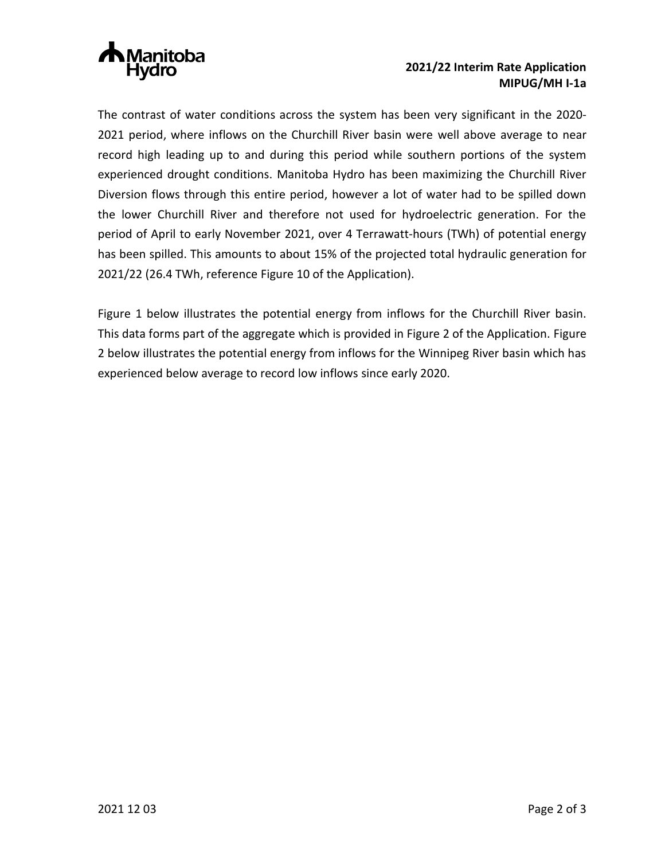

# **2021/22 Interim Rate Application MIPUG/MH I-1a**

The contrast of water conditions across the system has been very significant in the 2020- 2021 period, where inflows on the Churchill River basin were well above average to near record high leading up to and during this period while southern portions of the system experienced drought conditions. Manitoba Hydro has been maximizing the Churchill River Diversion flows through this entire period, however a lot of water had to be spilled down the lower Churchill River and therefore not used for hydroelectric generation. For the period of April to early November 2021, over 4 Terrawatt-hours (TWh) of potential energy has been spilled. This amounts to about 15% of the projected total hydraulic generation for 2021/22 (26.4 TWh, reference Figure 10 of the Application).

Figure 1 below illustrates the potential energy from inflows for the Churchill River basin. This data forms part of the aggregate which is provided in Figure 2 of the Application. Figure 2 below illustrates the potential energy from inflows for the Winnipeg River basin which has experienced below average to record low inflows since early 2020.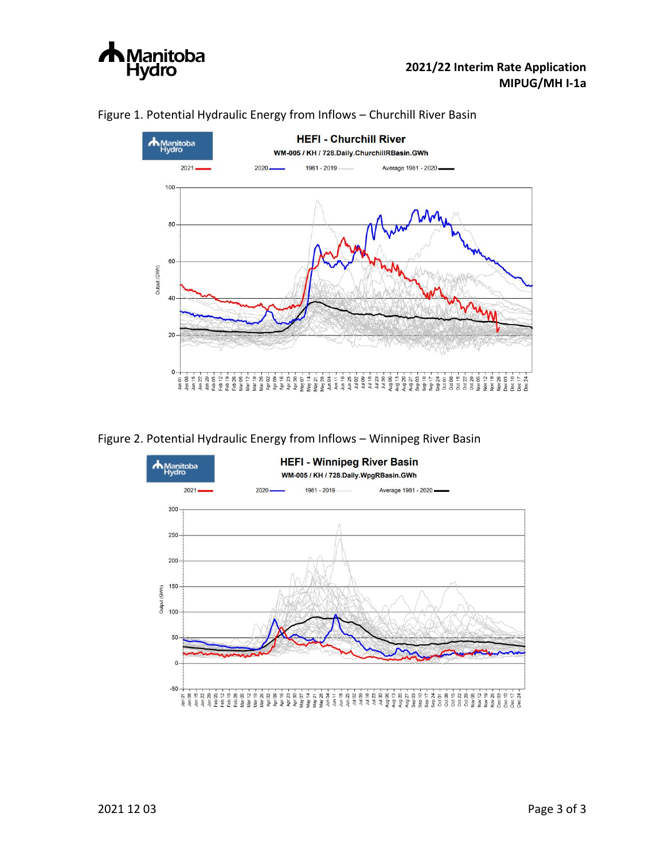



# Figure 1. Potential Hydraulic Energy from Inflows – Churchill River Basin

Figure 2. Potential Hydraulic Energy from Inflows – Winnipeg River Basin

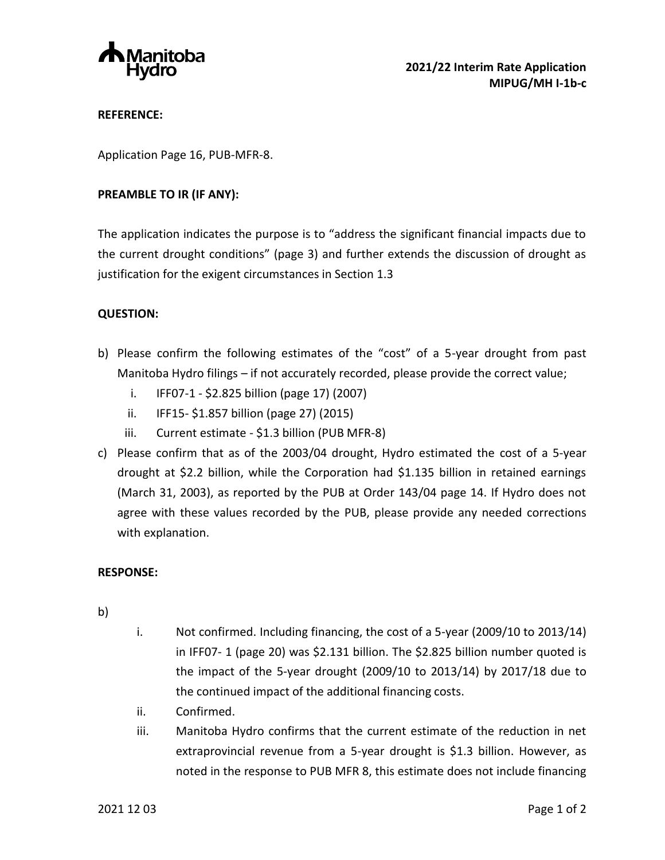

## **REFERENCE:**

Application Page 16, PUB-MFR-8.

### **PREAMBLE TO IR (IF ANY):**

The application indicates the purpose is to "address the significant financial impacts due to the current drought conditions" (page 3) and further extends the discussion of drought as justification for the exigent circumstances in Section 1.3

# **QUESTION:**

- b) Please confirm the following estimates of the "cost" of a 5-year drought from past Manitoba Hydro filings – if not accurately recorded, please provide the correct value;
	- i. IFF07-1 \$2.825 billion (page 17) (2007)
	- ii. IFF15- \$1.857 billion (page 27) (2015)
	- iii. Current estimate \$1.3 billion (PUB MFR-8)
- c) Please confirm that as of the 2003/04 drought, Hydro estimated the cost of a 5-year drought at \$2.2 billion, while the Corporation had \$1.135 billion in retained earnings (March 31, 2003), as reported by the PUB at Order 143/04 page 14. If Hydro does not agree with these values recorded by the PUB, please provide any needed corrections with explanation.

#### **RESPONSE:**

- b)
- i. Not confirmed. Including financing, the cost of a 5-year (2009/10 to 2013/14) in IFF07- 1 (page 20) was \$2.131 billion. The \$2.825 billion number quoted is the impact of the 5-year drought (2009/10 to 2013/14) by 2017/18 due to the continued impact of the additional financing costs.
- ii. Confirmed.
- iii. Manitoba Hydro confirms that the current estimate of the reduction in net extraprovincial revenue from a 5-year drought is \$1.3 billion. However, as noted in the response to PUB MFR 8, this estimate does not include financing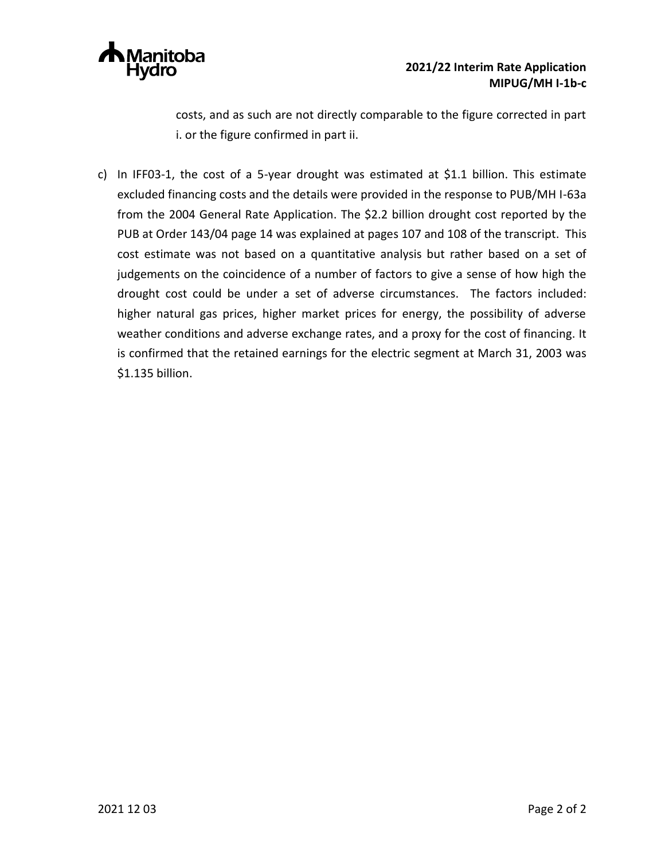

costs, and as such are not directly comparable to the figure corrected in part i. or the figure confirmed in part ii.

c) In IFF03-1, the cost of a 5-year drought was estimated at \$1.1 billion. This estimate excluded financing costs and the details were provided in the response to PUB/MH I-63a from the 2004 General Rate Application. The \$2.2 billion drought cost reported by the PUB at Order 143/04 page 14 was explained at pages 107 and 108 of the transcript. This cost estimate was not based on a quantitative analysis but rather based on a set of judgements on the coincidence of a number of factors to give a sense of how high the drought cost could be under a set of adverse circumstances. The factors included: higher natural gas prices, higher market prices for energy, the possibility of adverse weather conditions and adverse exchange rates, and a proxy for the cost of financing. It is confirmed that the retained earnings for the electric segment at March 31, 2003 was \$1.135 billion.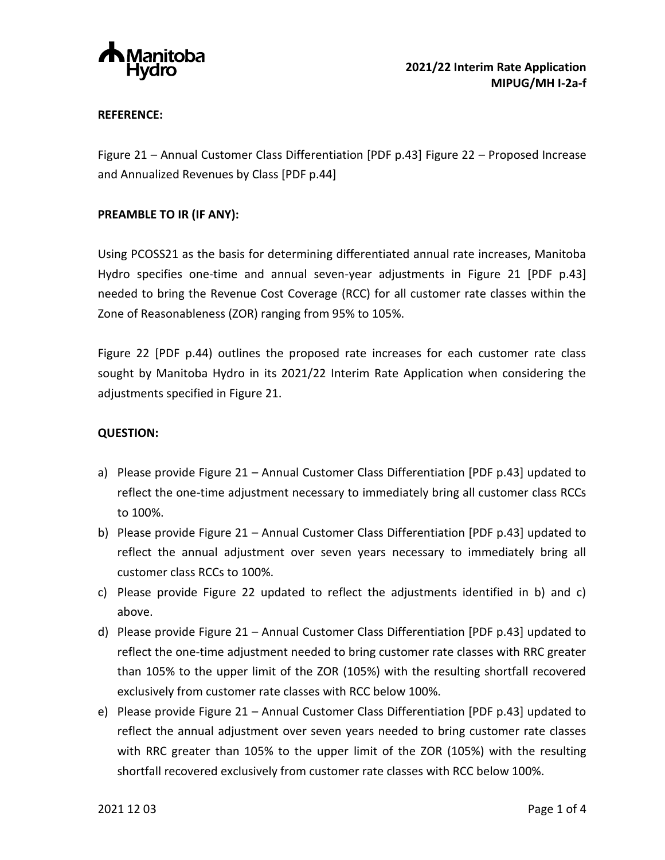

## **REFERENCE:**

Figure 21 – Annual Customer Class Differentiation [PDF p.43] Figure 22 – Proposed Increase and Annualized Revenues by Class [PDF p.44]

## **PREAMBLE TO IR (IF ANY):**

Using PCOSS21 as the basis for determining differentiated annual rate increases, Manitoba Hydro specifies one-time and annual seven-year adjustments in Figure 21 [PDF p.43] needed to bring the Revenue Cost Coverage (RCC) for all customer rate classes within the Zone of Reasonableness (ZOR) ranging from 95% to 105%.

Figure 22 [PDF p.44) outlines the proposed rate increases for each customer rate class sought by Manitoba Hydro in its 2021/22 Interim Rate Application when considering the adjustments specified in Figure 21.

### **QUESTION:**

- a) Please provide Figure 21 Annual Customer Class Differentiation [PDF p.43] updated to reflect the one-time adjustment necessary to immediately bring all customer class RCCs to 100%.
- b) Please provide Figure 21 Annual Customer Class Differentiation [PDF p.43] updated to reflect the annual adjustment over seven years necessary to immediately bring all customer class RCCs to 100%.
- c) Please provide Figure 22 updated to reflect the adjustments identified in b) and c) above.
- d) Please provide Figure 21 Annual Customer Class Differentiation [PDF p.43] updated to reflect the one-time adjustment needed to bring customer rate classes with RRC greater than 105% to the upper limit of the ZOR (105%) with the resulting shortfall recovered exclusively from customer rate classes with RCC below 100%.
- e) Please provide Figure 21 Annual Customer Class Differentiation [PDF p.43] updated to reflect the annual adjustment over seven years needed to bring customer rate classes with RRC greater than 105% to the upper limit of the ZOR (105%) with the resulting shortfall recovered exclusively from customer rate classes with RCC below 100%.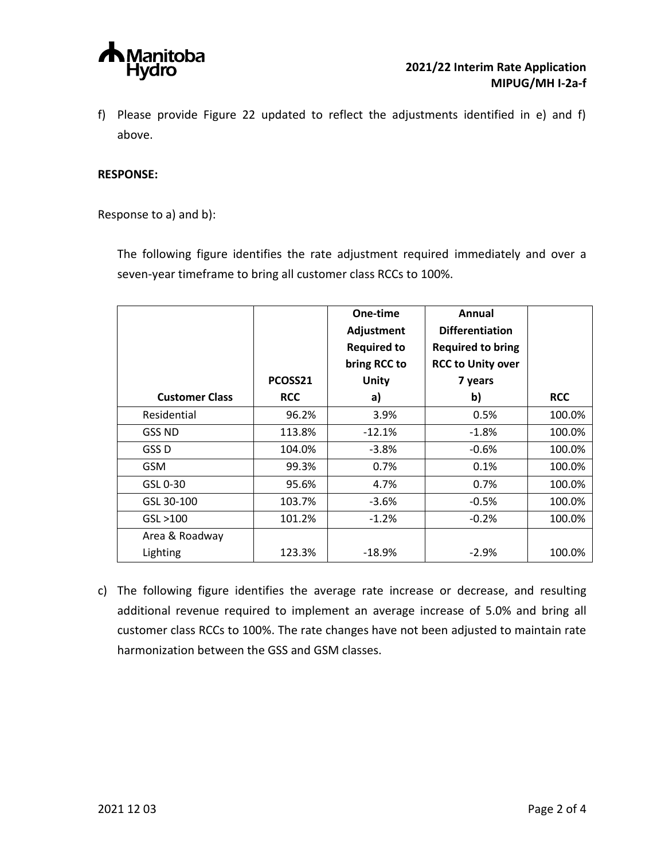

f) Please provide Figure 22 updated to reflect the adjustments identified in e) and f) above.

### **RESPONSE:**

Response to a) and b):

The following figure identifies the rate adjustment required immediately and over a seven-year timeframe to bring all customer class RCCs to 100%.

|                       |            | One-time           | Annual                   |            |
|-----------------------|------------|--------------------|--------------------------|------------|
|                       |            | Adjustment         | <b>Differentiation</b>   |            |
|                       |            | <b>Required to</b> | <b>Required to bring</b> |            |
|                       |            | bring RCC to       | <b>RCC to Unity over</b> |            |
|                       | PCOSS21    | <b>Unity</b>       | 7 years                  |            |
| <b>Customer Class</b> | <b>RCC</b> | a)                 | b)                       | <b>RCC</b> |
| Residential           | 96.2%      | 3.9%               | 0.5%                     | 100.0%     |
| <b>GSS ND</b>         | 113.8%     | $-12.1%$           | $-1.8%$                  | 100.0%     |
| GSS D                 | 104.0%     | $-3.8%$            | $-0.6%$                  | 100.0%     |
| <b>GSM</b>            | 99.3%      | 0.7%               | 0.1%                     | 100.0%     |
| GSL 0-30              | 95.6%      | 4.7%               | 0.7%                     | 100.0%     |
| GSL 30-100            | 103.7%     | $-3.6%$            | $-0.5%$                  | 100.0%     |
| GSL > 100             | 101.2%     | $-1.2%$            | $-0.2%$                  | 100.0%     |
| Area & Roadway        |            |                    |                          |            |
| Lighting              | 123.3%     | $-18.9%$           | $-2.9%$                  | 100.0%     |

c) The following figure identifies the average rate increase or decrease, and resulting additional revenue required to implement an average increase of 5.0% and bring all customer class RCCs to 100%. The rate changes have not been adjusted to maintain rate harmonization between the GSS and GSM classes.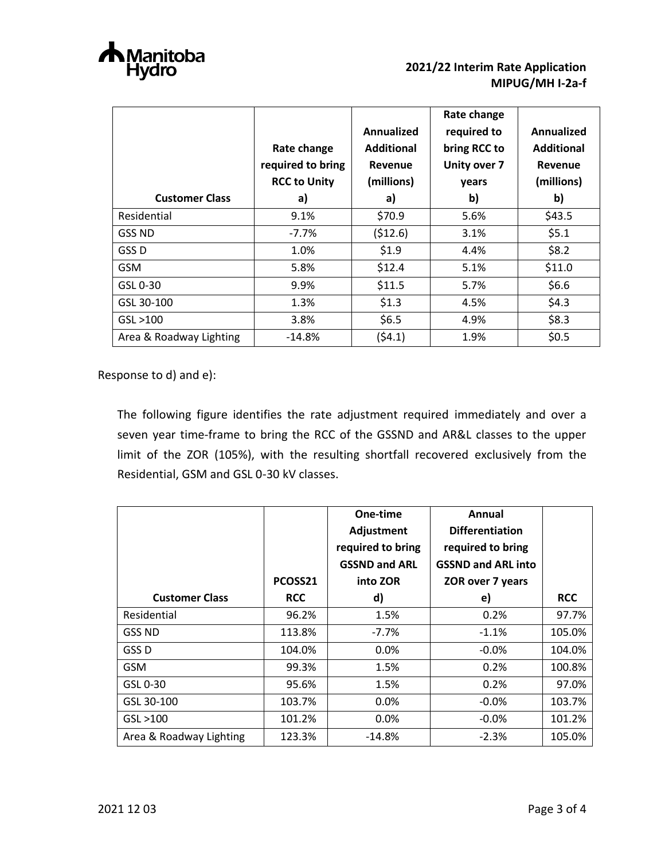

|                         | Rate change<br>required to bring<br><b>RCC to Unity</b> | Annualized<br><b>Additional</b><br>Revenue<br>(millions) | Rate change<br>required to<br>bring RCC to<br>Unity over 7<br>years | Annualized<br><b>Additional</b><br>Revenue<br>(millions) |
|-------------------------|---------------------------------------------------------|----------------------------------------------------------|---------------------------------------------------------------------|----------------------------------------------------------|
| <b>Customer Class</b>   | a)                                                      | a)                                                       | b)                                                                  | b)                                                       |
| Residential             | 9.1%                                                    | \$70.9                                                   | 5.6%                                                                | \$43.5                                                   |
| <b>GSS ND</b>           | $-7.7%$                                                 | (512.6)                                                  | 3.1%                                                                | \$5.1                                                    |
| GSS D                   | 1.0%                                                    | \$1.9                                                    | 4.4%                                                                | \$8.2                                                    |
| <b>GSM</b>              | 5.8%                                                    | \$12.4                                                   | 5.1%                                                                | \$11.0                                                   |
| GSL 0-30                | 9.9%                                                    | \$11.5                                                   | 5.7%                                                                | \$6.6                                                    |
| GSL 30-100              | 1.3%                                                    | \$1.3                                                    | 4.5%                                                                | \$4.3                                                    |
| GSL > 100               | 3.8%                                                    | \$6.5                                                    | 4.9%                                                                | \$8.3                                                    |
| Area & Roadway Lighting | $-14.8%$                                                | (54.1)                                                   | 1.9%                                                                | \$0.5                                                    |

Response to d) and e):

The following figure identifies the rate adjustment required immediately and over a seven year time-frame to bring the RCC of the GSSND and AR&L classes to the upper limit of the ZOR (105%), with the resulting shortfall recovered exclusively from the Residential, GSM and GSL 0-30 kV classes.

|                         |            | One-time             | Annual                    |            |
|-------------------------|------------|----------------------|---------------------------|------------|
|                         |            | Adjustment           | <b>Differentiation</b>    |            |
|                         |            | required to bring    | required to bring         |            |
|                         |            | <b>GSSND and ARL</b> | <b>GSSND and ARL into</b> |            |
|                         | PCOSS21    | into ZOR             | ZOR over 7 years          |            |
| <b>Customer Class</b>   | <b>RCC</b> | d)                   | e)                        | <b>RCC</b> |
| Residential             | 96.2%      | 1.5%                 | 0.2%                      | 97.7%      |
| GSS ND                  | 113.8%     | $-7.7\%$             | $-1.1%$                   | 105.0%     |
| GSS D                   | 104.0%     | 0.0%                 | $-0.0\%$                  | 104.0%     |
| <b>GSM</b>              | 99.3%      | 1.5%                 | 0.2%                      | 100.8%     |
| GSL 0-30                | 95.6%      | 1.5%                 | 0.2%                      | 97.0%      |
| GSL 30-100              | 103.7%     | 0.0%                 | $-0.0\%$                  | 103.7%     |
| GSL > 100               | 101.2%     | 0.0%                 | $-0.0\%$                  | 101.2%     |
| Area & Roadway Lighting | 123.3%     | $-14.8%$             | $-2.3%$                   | 105.0%     |